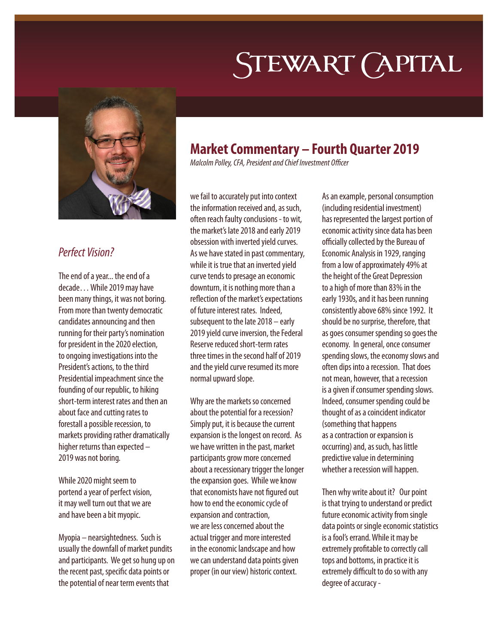# STEWART (APITAL



### *Perfect Vision?*

The end of a year... the end of a decade… While 2019 may have been many things, it was not boring. From more than twenty democratic candidates announcing and then running for their party's nomination for president in the 2020 election, to ongoing investigations into the President's actions, to the third Presidential impeachment since the founding of our republic, to hiking short-term interest rates and then an about face and cutting rates to forestall a possible recession, to markets providing rather dramatically higher returns than expected – 2019 was not boring.

While 2020 might seem to portend a year of perfect vision, it may well turn out that we are and have been a bit myopic.

Myopia – nearsightedness. Such is usually the downfall of market pundits and participants. We get so hung up on the recent past, specific data points or the potential of near term events that

## **Market Commentary – Fourth Quarter 2019**

*Malcolm Polley, CFA, President and Chief Investment Officer*

we fail to accurately put into context the information received and, as such, often reach faulty conclusions - to wit, the market's late 2018 and early 2019 obsession with inverted yield curves. As we have stated in past commentary, while it is true that an inverted yield curve tends to presage an economic downturn, it is nothing more than a reflection of the market's expectations of future interest rates. Indeed, subsequent to the late 2018 – early 2019 yield curve inversion, the Federal Reserve reduced short-term rates three times in the second half of 2019 and the yield curve resumed its more normal upward slope.

Why are the markets so concerned about the potential for a recession? Simply put, it is because the current expansion is the longest on record. As we have written in the past, market participants grow more concerned about a recessionary trigger the longer the expansion goes. While we know that economists have not figured out how to end the economic cycle of expansion and contraction, we are less concerned about the actual trigger and more interested in the economic landscape and how we can understand data points given proper (in our view) historic context.

As an example, personal consumption (including residential investment) has represented the largest portion of economic activity since data has been officially collected by the Bureau of Economic Analysis in 1929, ranging from a low of approximately 49% at the height of the Great Depression to a high of more than 83% in the early 1930s, and it has been running consistently above 68% since 1992. It should be no surprise, therefore, that as goes consumer spending so goes the economy. In general, once consumer spending slows, the economy slows and often dips into a recession. That does not mean, however, that a recession is a given if consumer spending slows. Indeed, consumer spending could be thought of as a coincident indicator (something that happens as a contraction or expansion is occurring) and, as such, has little predictive value in determining whether a recession will happen.

Then why write about it? Our point is that trying to understand or predict future economic activity from single data points or single economic statistics is a fool's errand. While it may be extremely profitable to correctly call tops and bottoms, in practice it is extremely difficult to do so with any degree of accuracy -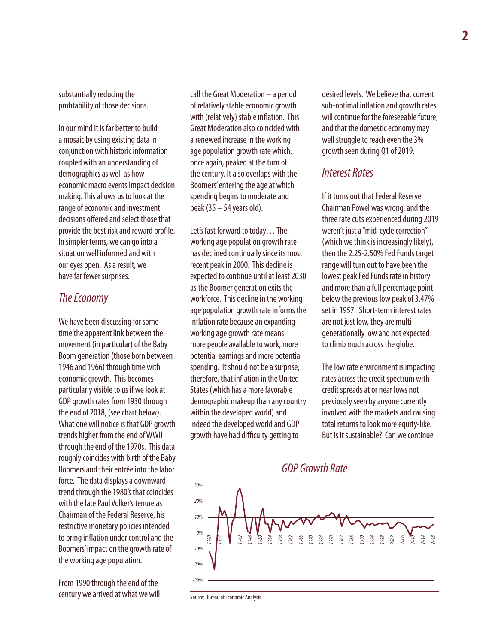substantially reducing the profitability of those decisions.

In our mind it is far better to build a mosaic by using existing data in conjunction with historic information coupled with an understanding of demographics as well as how economic macro events impact decision making. This allows us to look at the range of economic and investment decisions offered and select those that provide the best risk and reward profile. In simpler terms, we can go into a situation well informed and with our eyes open. As a result, we have far fewer surprises.

#### *The Economy*

We have been discussing for some time the apparent link between the movement (in particular) of the Baby Boom generation (those born between 1946 and 1966) through time with economic growth. This becomes particularly visible to us if we look at GDP growth rates from 1930 through the end of 2018, (see chart below). What one will notice is that GDP growth trends higher from the end of WWII through the end of the 1970s. This data roughly coincides with birth of the Baby Boomers and their entrée into the labor force. The data displays a downward trend through the 1980's that coincides with the late Paul Volker's tenure as Chairman of the Federal Reserve, his restrictive monetary policies intended to bring inflation under control and the Boomers' impact on the growth rate of the working age population.

From 1990 through the end of the century we arrived at what we will

call the Great Moderation – a period of relatively stable economic growth with (relatively) stable inflation. This Great Moderation also coincided with a renewed increase in the working age population growth rate which, once again, peaked at the turn of the century. It also overlaps with the Boomers' entering the age at which spending begins to moderate and peak (35 – 54 years old).

Let's fast forward to today… The working age population growth rate has declined continually since its most recent peak in 2000. This decline is expected to continue until at least 2030 as the Boomer generation exits the workforce. This decline in the working age population growth rate informs the inflation rate because an expanding working age growth rate means more people available to work, more potential earnings and more potential spending. It should not be a surprise, therefore, that inflation in the United States (which has a more favorable demographic makeup than any country within the developed world) and indeed the developed world and GDP growth have had difficulty getting to

desired levels. We believe that current sub-optimal inflation and growth rates will continue for the foreseeable future, and that the domestic economy may well struggle to reach even the 3% growth seen during Q1 of 2019.

#### *Interest Rates*

If it turns out that Federal Reserve Chairman Powel was wrong, and the three rate cuts experienced during 2019 weren't just a "mid-cycle correction" (which we think is increasingly likely), then the 2.25-2.50% Fed Funds target range will turn out to have been the lowest peak Fed Funds rate in history and more than a full percentage point below the previous low peak of 3.47% set in 1957. Short-term interest rates are not just low, they are multigenerationally low and not expected to climb much across the globe.

The low rate environment is impacting rates across the credit spectrum with credit spreads at or near lows not previously seen by anyone currently involved with the markets and causing total returns to look more equity-like. But is it sustainable? Can we continue



Source: Bureau of Economic Analysis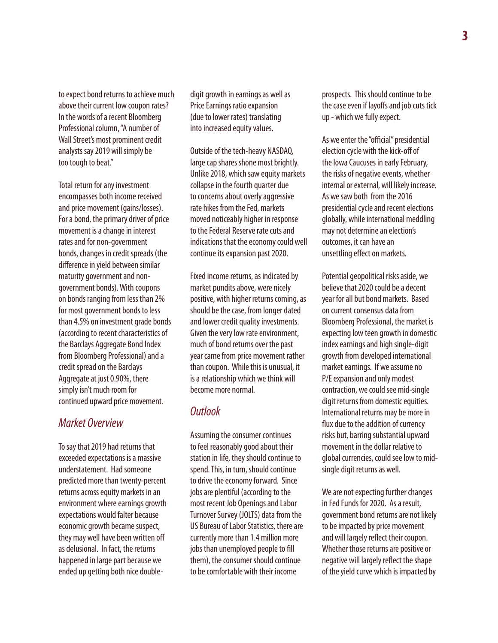to expect bond returns to achieve much above their current low coupon rates? In the words of a recent Bloomberg Professional column, "A number of Wall Street's most prominent credit analysts say 2019 will simply be too tough to beat."

Total return for any investment encompasses both income received and price movement (gains/losses). For a bond, the primary driver of price movement is a change in interest rates and for non-government bonds, changes in credit spreads (the difference in yield between similar maturity government and nongovernment bonds). With coupons on bonds ranging from less than 2% for most government bonds to less than 4.5% on investment grade bonds (according to recent characteristics of the Barclays Aggregate Bond Index from Bloomberg Professional) and a credit spread on the Barclays Aggregate at just 0.90%, there simply isn't much room for continued upward price movement.

#### *Market Overview*

To say that 2019 had returns that exceeded expectations is a massive understatement. Had someone predicted more than twenty-percent returns across equity markets in an environment where earnings growth expectations would falter because economic growth became suspect, they may well have been written off as delusional. In fact, the returns happened in large part because we ended up getting both nice doubledigit growth in earnings as well as Price Earnings ratio expansion (due to lower rates) translating into increased equity values.

Outside of the tech-heavy NASDAQ, large cap shares shone most brightly. Unlike 2018, which saw equity markets collapse in the fourth quarter due to concerns about overly aggressive rate hikes from the Fed, markets moved noticeably higher in response to the Federal Reserve rate cuts and indications that the economy could well continue its expansion past 2020.

Fixed income returns, as indicated by market pundits above, were nicely positive, with higher returns coming, as should be the case, from longer dated and lower credit quality investments. Given the very low rate environment, much of bond returns over the past year came from price movement rather than coupon. While this is unusual, it is a relationship which we think will become more normal.

#### *Outlook*

Assuming the consumer continues to feel reasonably good about their station in life, they should continue to spend. This, in turn, should continue to drive the economy forward. Since jobs are plentiful (according to the most recent Job Openings and Labor Turnover Survey (JOLTS) data from the US Bureau of Labor Statistics, there are currently more than 1.4 million more jobs than unemployed people to fill them), the consumer should continue to be comfortable with their income

prospects. This should continue to be the case even if layoffs and job cuts tick up - which we fully expect.

As we enter the "official" presidential election cycle with the kick-off of the Iowa Caucuses in early February, the risks of negative events, whether internal or external, will likely increase. As we saw both from the 2016 presidential cycle and recent elections globally, while international meddling may not determine an election's outcomes, it can have an unsettling effect on markets.

Potential geopolitical risks aside, we believe that 2020 could be a decent year for all but bond markets. Based on current consensus data from Bloomberg Professional, the market is expecting low teen growth in domestic index earnings and high single-digit growth from developed international market earnings. If we assume no P/E expansion and only modest contraction, we could see mid-single digit returns from domestic equities. International returns may be more in flux due to the addition of currency risks but, barring substantial upward movement in the dollar relative to global currencies, could see low to midsingle digit returns as well.

We are not expecting further changes in Fed Funds for 2020. As a result, government bond returns are not likely to be impacted by price movement and will largely reflect their coupon. Whether those returns are positive or negative will largely reflect the shape of the yield curve which is impacted by